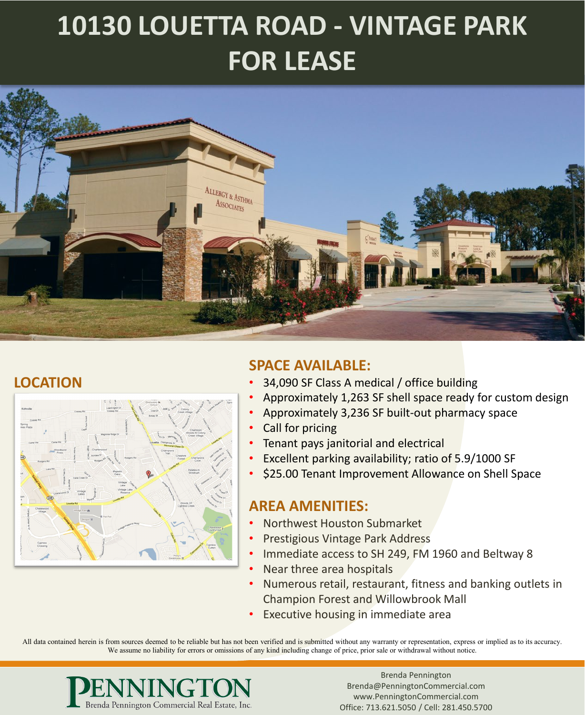

#### **LOCATION**



#### **SPACE AVAILABLE:**

- 34,090 SF Class A medical / office building
- Approximately 1,263 SF shell space ready for custom design
- Approximately 3,236 SF built-out pharmacy space
- Call for pricing
- Tenant pays janitorial and electrical
- Excellent parking availability; ratio of 5.9/1000 SF
- \$25.00 Tenant Improvement Allowance on Shell Space

#### **AREA AMENITIES:**

- Northwest Houston Submarket
- Prestigious Vintage Park Address
- Immediate access to SH 249, FM 1960 and Beltway 8
- Near three area hospitals
- Numerous retail, restaurant, fitness and banking outlets in Champion Forest and Willowbrook Mall
- **Executive housing in immediate area**

All data contained herein is from sources deemed to be reliable but has not been verified and is submitted without any warranty or representation, express or implied as to its accuracy. We assume no liability for errors or omissions of any kind including change of price, prior sale or withdrawal without notice.

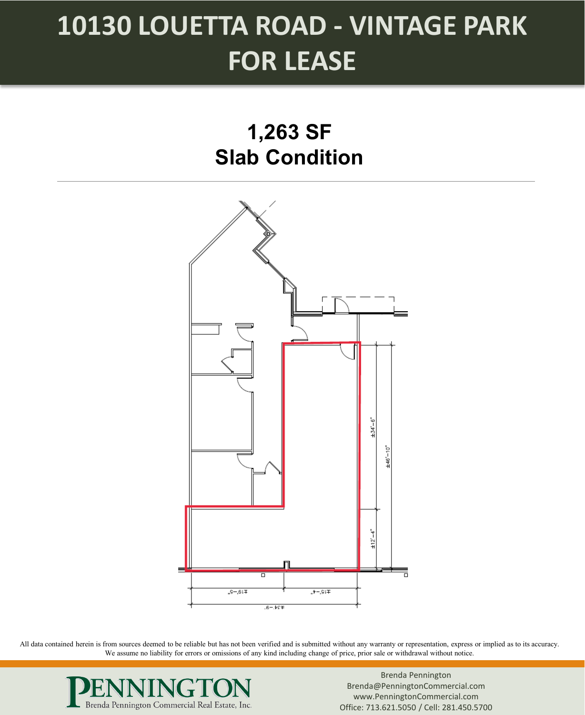**1,263 SF Slab Condition**



All data contained herein is from sources deemed to be reliable but has not been verified and is submitted without any warranty or representation, express or implied as to its accuracy. We assume no liability for errors or omissions of any kind including change of price, prior sale or withdrawal without notice.

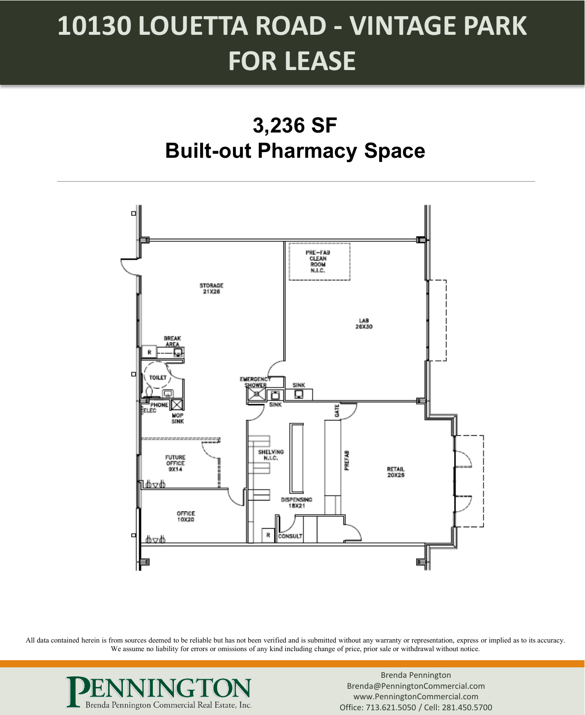**3,236 SF Built-out Pharmacy Space**



All data contained herein is from sources deemed to be reliable but has not been verified and is submitted without any warranty or representation, express or implied as to its accuracy. We assume no liability for errors or omissions of any kind including change of price, prior sale or withdrawal without notice.

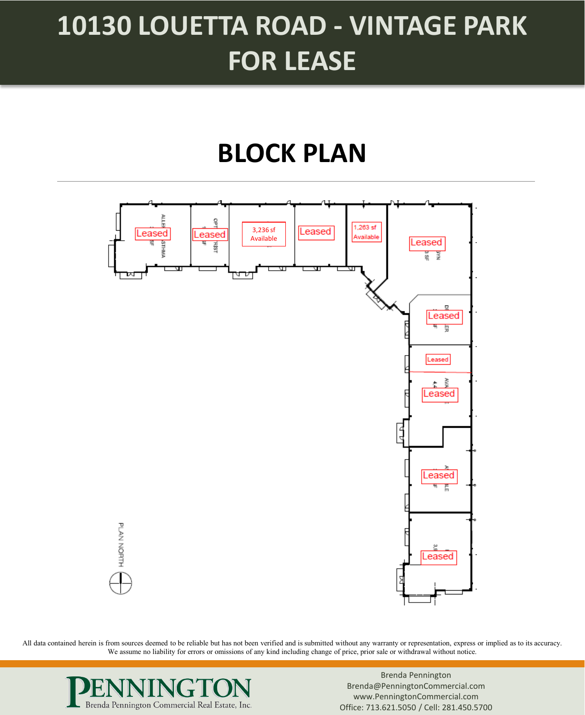#### **BLOCK PLAN**



All data contained herein is from sources deemed to be reliable but has not been verified and is submitted without any warranty or representation, express or implied as to its accuracy. We assume no liability for errors or omissions of any kind including change of price, prior sale or withdrawal without notice.

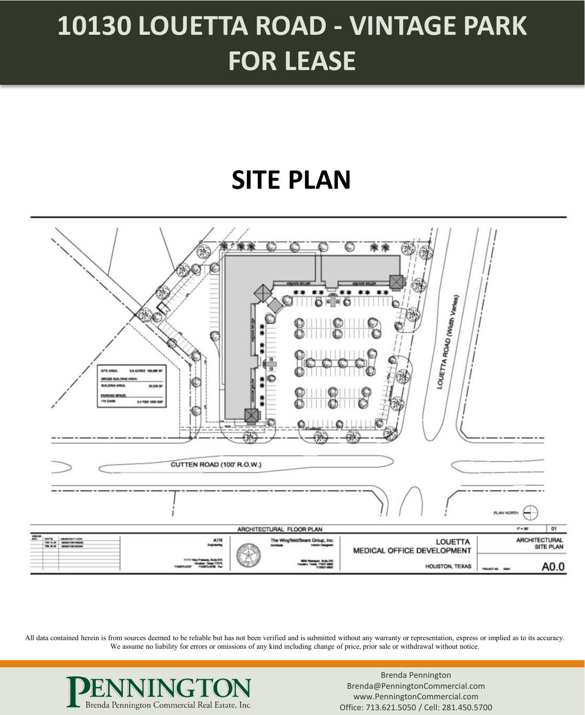#### **SITE PLAN**



All data contained herein is from sources deemed to be reliable but has not been verified and is submitted without any warranty or representation, express or implied as to its accuracy. We assume no liability for errors or omissions of any kind including change of price, prior sale or withdrawal without notice.